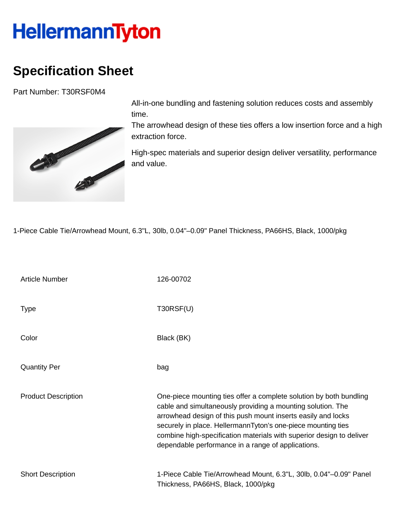## **HellermannTyton**

## **Specification Sheet**

Part Number: T30RSF0M4



All-in-one bundling and fastening solution reduces costs and assembly time.

The arrowhead design of these ties offers a low insertion force and a high extraction force.

High-spec materials and superior design deliver versatility, performance and value.

1-Piece Cable Tie/Arrowhead Mount, 6.3"L, 30lb, 0.04"–0.09" Panel Thickness, PA66HS, Black, 1000/pkg

| <b>Article Number</b>      | 126-00702                                                                                                                                                                                                                                                                                                                                                                                       |
|----------------------------|-------------------------------------------------------------------------------------------------------------------------------------------------------------------------------------------------------------------------------------------------------------------------------------------------------------------------------------------------------------------------------------------------|
| <b>Type</b>                | T30RSF(U)                                                                                                                                                                                                                                                                                                                                                                                       |
| Color                      | Black (BK)                                                                                                                                                                                                                                                                                                                                                                                      |
| <b>Quantity Per</b>        | bag                                                                                                                                                                                                                                                                                                                                                                                             |
| <b>Product Description</b> | One-piece mounting ties offer a complete solution by both bundling<br>cable and simultaneously providing a mounting solution. The<br>arrowhead design of this push mount inserts easily and locks<br>securely in place. HellermannTyton's one-piece mounting ties<br>combine high-specification materials with superior design to deliver<br>dependable performance in a range of applications. |
| <b>Short Description</b>   | 1-Piece Cable Tie/Arrowhead Mount, 6.3"L, 30lb, 0.04"-0.09" Panel<br>Thickness, PA66HS, Black, 1000/pkg                                                                                                                                                                                                                                                                                         |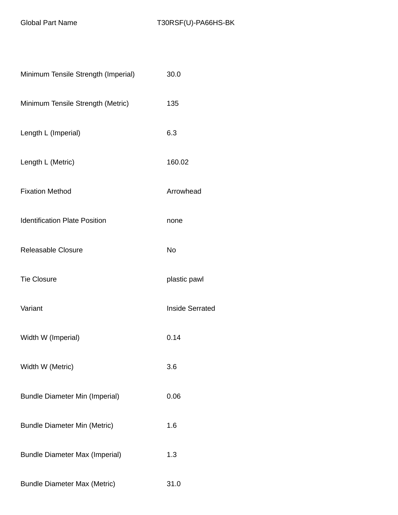| Minimum Tensile Strength (Imperial)   | 30.0                   |
|---------------------------------------|------------------------|
| Minimum Tensile Strength (Metric)     | 135                    |
| Length L (Imperial)                   | 6.3                    |
| Length L (Metric)                     | 160.02                 |
| <b>Fixation Method</b>                | Arrowhead              |
| <b>Identification Plate Position</b>  | none                   |
| Releasable Closure                    | <b>No</b>              |
| <b>Tie Closure</b>                    | plastic pawl           |
| Variant                               | <b>Inside Serrated</b> |
| Width W (Imperial)                    | 0.14                   |
| Width W (Metric)                      | 3.6                    |
| <b>Bundle Diameter Min (Imperial)</b> | 0.06                   |
| <b>Bundle Diameter Min (Metric)</b>   | 1.6                    |
| <b>Bundle Diameter Max (Imperial)</b> | 1.3                    |
| <b>Bundle Diameter Max (Metric)</b>   | 31.0                   |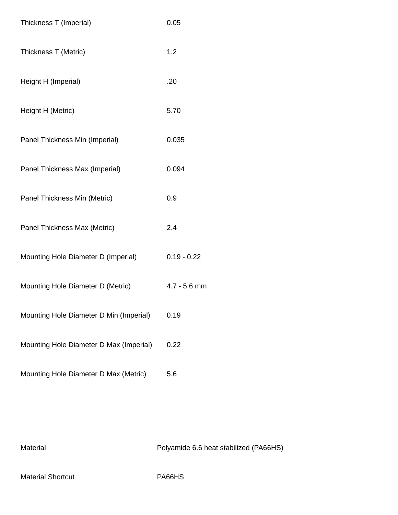| Thickness T (Imperial)                  | 0.05           |
|-----------------------------------------|----------------|
| Thickness T (Metric)                    | 1.2            |
| Height H (Imperial)                     | .20            |
| Height H (Metric)                       | 5.70           |
| Panel Thickness Min (Imperial)          | 0.035          |
| Panel Thickness Max (Imperial)          | 0.094          |
| Panel Thickness Min (Metric)            | 0.9            |
| Panel Thickness Max (Metric)            | 2.4            |
| Mounting Hole Diameter D (Imperial)     | $0.19 - 0.22$  |
| Mounting Hole Diameter D (Metric)       | $4.7 - 5.6$ mm |
| Mounting Hole Diameter D Min (Imperial) | 0.19           |
| Mounting Hole Diameter D Max (Imperial) | 0.22           |
| Mounting Hole Diameter D Max (Metric)   | 5.6            |

Material Material Material Research Material Polyamide 6.6 heat stabilized (PA66HS)

Material Shortcut **PA66HS**